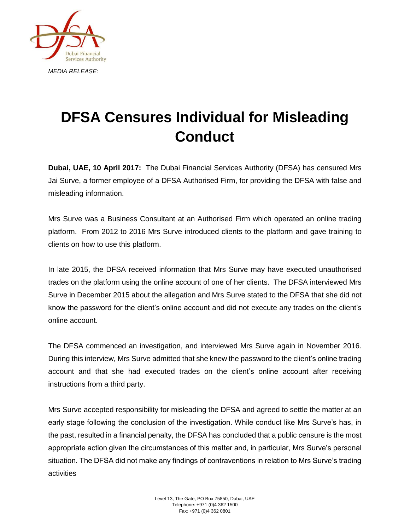

## **DFSA Censures Individual for Misleading Conduct**

**Dubai, UAE, 10 April 2017:** The Dubai Financial Services Authority (DFSA) has censured Mrs Jai Surve, a former employee of a DFSA Authorised Firm, for providing the DFSA with false and misleading information.

Mrs Surve was a Business Consultant at an Authorised Firm which operated an online trading platform. From 2012 to 2016 Mrs Surve introduced clients to the platform and gave training to clients on how to use this platform.

In late 2015, the DFSA received information that Mrs Surve may have executed unauthorised trades on the platform using the online account of one of her clients. The DFSA interviewed Mrs Surve in December 2015 about the allegation and Mrs Surve stated to the DFSA that she did not know the password for the client's online account and did not execute any trades on the client's online account.

The DFSA commenced an investigation, and interviewed Mrs Surve again in November 2016. During this interview, Mrs Surve admitted that she knew the password to the client's online trading account and that she had executed trades on the client's online account after receiving instructions from a third party.

Mrs Surve accepted responsibility for misleading the DFSA and agreed to settle the matter at an early stage following the conclusion of the investigation. While conduct like Mrs Surve's has, in the past, resulted in a financial penalty, the DFSA has concluded that a public censure is the most appropriate action given the circumstances of this matter and, in particular, Mrs Surve's personal situation. The DFSA did not make any findings of contraventions in relation to Mrs Surve's trading activities